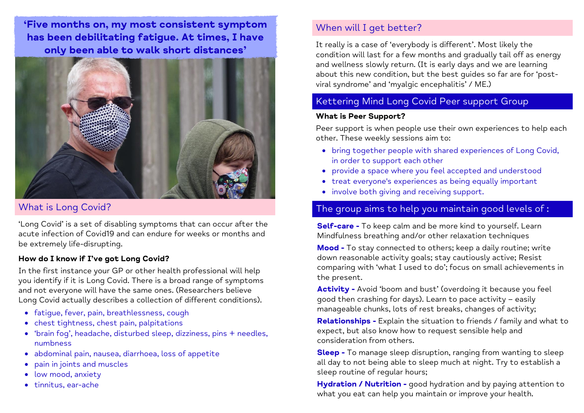'Five months on, my most consistent symptom has been debilitating fatigue. At times, I have only been able to walk short distances'



## What is Long Covid?

'Long Covid' is a set of disabling symptoms that can occur after the acute infection of Covid19 and can endure for weeks or months and be extremely life-disrupting.

#### **How do I know if I've got Long Covid?**

In the first instance your GP or other health professional will help you identify if it is Long Covid. There is a broad range of symptoms and not everyone will have the same ones. (Researchers believe Long Covid actually describes a collection of different conditions).

- fatique, fever, pain, breathlessness, cough
- chest tightness, chest pain, palpitations
- 'brain fog', headache, disturbed sleep, dizziness, pins + needles, numbness
- abdominal pain, nausea, diarrhoea, loss of appetite
- pain in joints and muscles
- low mood, anxiety
- $\bullet$  tinnitus, ear-ache

# When will I get better?

It really is a case of 'everybody is different'. Most likely the condition will last for a few months and gradually tail off as energy and wellness slowly return. (It is early days and we are learning about this new condition, but the best guides so far are for 'postviral syndrome' and 'myalgic encephalitis' / ME.)

# Kettering Mind Long Covid Peer support Group

#### **What is Peer Support?**

Peer support is when people use their own experiences to help each other. These weekly sessions aim to:

- bring together people with shared experiences of Long Covid, in order to support each other
- provide a space where you feel accepted and understood
- treat everyone's experiences as being equally important
- involve both giving and receiving support.

# The group aims to help you maintain good levels of :

**Self-care -** To keep calm and be more kind to yourself. Learn Mindfulness breathing and/or other relaxation techniques

**Mood -** To stay connected to others; keep a daily routine; write down reasonable activity goals; stay cautiously active; Resist comparing with 'what I used to do'; focus on small achievements in the present.

**Activity -** Avoid 'boom and bust' (overdoing it because you feel good then crashing for days). Learn to pace activity – easily manageable chunks, lots of rest breaks, changes of activity;

**Relationships -** Explain the situation to friends / family and what to expect, but also know how to request sensible help and consideration from others.

**Sleep -** To manage sleep disruption, ranging from wanting to sleep all day to not being able to sleep much at night. Try to establish a sleep routine of regular hours;

**Hydration / Nutrition -** good hydration and by paying attention to what you eat can help you maintain or improve your health.